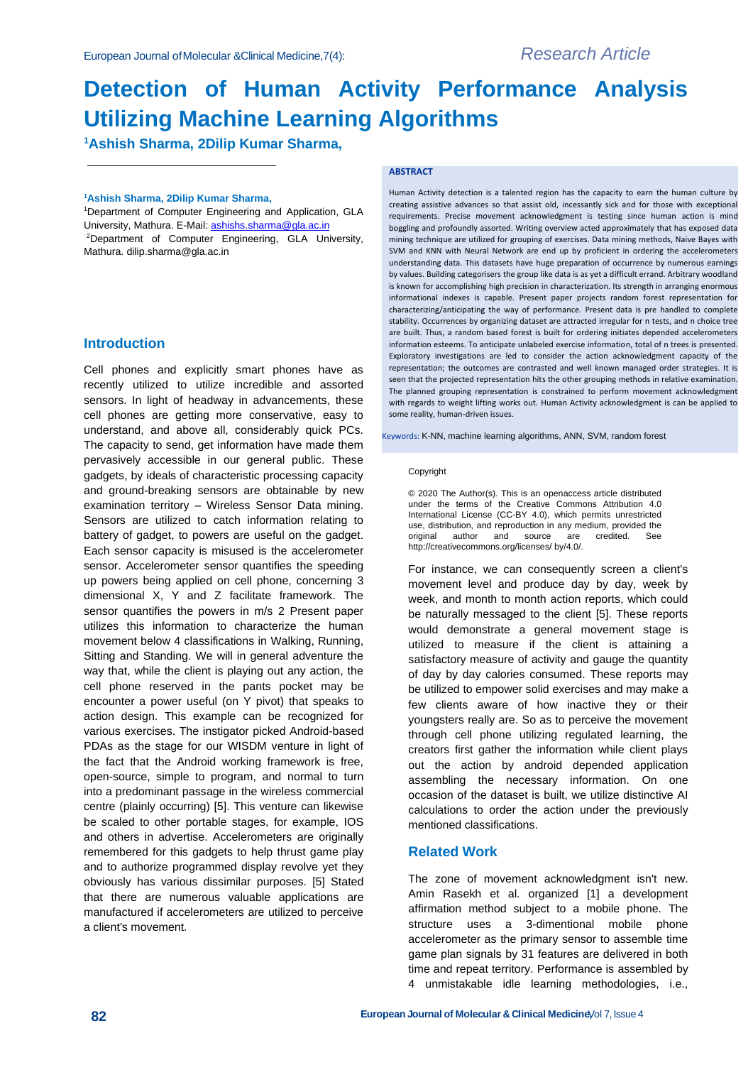# **Detection of Human Activity Performance Analysis Utilizing Machine Learning Algorithms**

**<sup>1</sup>Ashish Sharma, 2Dilip Kumar Sharma,**

#### **<sup>1</sup>Ashish Sharma, 2Dilip Kumar Sharma,**

<sup>1</sup>Department of Computer Engineering and Application, GLA University, Mathura. E-Mail[: ashishs.sharma@gla.ac.in](mailto:ashishs.sharma@gla.ac.in) <sup>2</sup>Department of Computer Engineering, GLA University, Mathura. dilip.sharma@gla.ac.in

## **Introduction**

Cell phones and explicitly smart phones have as recently utilized to utilize incredible and assorted sensors. In light of headway in advancements, these cell phones are getting more conservative, easy to understand, and above all, considerably quick PCs. The capacity to send, get information have made them pervasively accessible in our general public. These gadgets, by ideals of characteristic processing capacity and ground-breaking sensors are obtainable by new examination territory – Wireless Sensor Data mining. Sensors are utilized to catch information relating to battery of gadget, to powers are useful on the gadget. Each sensor capacity is misused is the accelerometer sensor. Accelerometer sensor quantifies the speeding up powers being applied on cell phone, concerning 3 dimensional X, Y and Z facilitate framework. The sensor quantifies the powers in m/s 2 Present paper utilizes this information to characterize the human movement below 4 classifications in Walking, Running, Sitting and Standing. We will in general adventure the way that, while the client is playing out any action, the cell phone reserved in the pants pocket may be encounter a power useful (on Y pivot) that speaks to action design. This example can be recognized for various exercises. The instigator picked Android-based PDAs as the stage for our WISDM venture in light of the fact that the Android working framework is free, open-source, simple to program, and normal to turn into a predominant passage in the wireless commercial centre (plainly occurring) [5]. This venture can likewise be scaled to other portable stages, for example, IOS and others in advertise. Accelerometers are originally remembered for this gadgets to help thrust game play and to authorize programmed display revolve yet they obviously has various dissimilar purposes. [5] Stated that there are numerous valuable applications are manufactured if accelerometers are utilized to perceive a client's movement.

#### **ABSTRACT**

Human Activity detection is a talented region has the capacity to earn the human culture by creating assistive advances so that assist old, incessantly sick and for those with exceptional requirements. Precise movement acknowledgment is testing since human action is mind boggling and profoundly assorted. Writing overview acted approximately that has exposed data mining technique are utilized for grouping of exercises. Data mining methods, Naive Bayes with SVM and KNN with Neural Network are end up by proficient in ordering the accelerometers understanding data. This datasets have huge preparation of occurrence by numerous earnings by values. Building categorisers the group like data is as yet a difficult errand. Arbitrary woodland is known for accomplishing high precision in characterization. Its strength in arranging enormous informational indexes is capable. Present paper projects random forest representation for characterizing/anticipating the way of performance. Present data is pre handled to complete stability. Occurrences by organizing dataset are attracted irregular for n tests, and n choice tree are built. Thus, a random based forest is built for ordering initiates depended accelerometers information esteems. To anticipate unlabeled exercise information, total of n trees is presented. Exploratory investigations are led to consider the action acknowledgment capacity of the representation; the outcomes are contrasted and well known managed order strategies. It is seen that the projected representation hits the other grouping methods in relative examination. The planned grouping representation is constrained to perform movement acknowledgment with regards to weight lifting works out. Human Activity acknowledgment is can be applied to some reality, human-driven issues.

Keywords: K-NN, machine learning algorithms, ANN, SVM, random forest

#### Copyright

© 2020 The Author(s). This is an openaccess article distributed under the terms of the Creative Commons Attribution 4.0 International License (CC-BY 4.0), which permits unrestricted use, distribution, and reproduction in any medium, provided the original author and source are credited. See original author and source are credited. See [http://creativecommons.org/licenses/ b](http://creativecommons.org/licenses/)y/4.0/.

For instance, we can consequently screen a client's movement level and produce day by day, week by week, and month to month action reports, which could be naturally messaged to the client [5]. These reports would demonstrate a general movement stage is utilized to measure if the client is attaining a satisfactory measure of activity and gauge the quantity of day by day calories consumed. These reports may be utilized to empower solid exercises and may make a few clients aware of how inactive they or their youngsters really are. So as to perceive the movement through cell phone utilizing regulated learning, the creators first gather the information while client plays out the action by android depended application assembling the necessary information. On one occasion of the dataset is built, we utilize distinctive AI calculations to order the action under the previously mentioned classifications.

## **Related Work**

The zone of movement acknowledgment isn't new. Amin Rasekh et al. organized [1] a development affirmation method subject to a mobile phone. The structure uses a 3-dimentional mobile phone accelerometer as the primary sensor to assemble time game plan signals by 31 features are delivered in both time and repeat territory. Performance is assembled by 4 unmistakable idle learning methodologies, i.e.,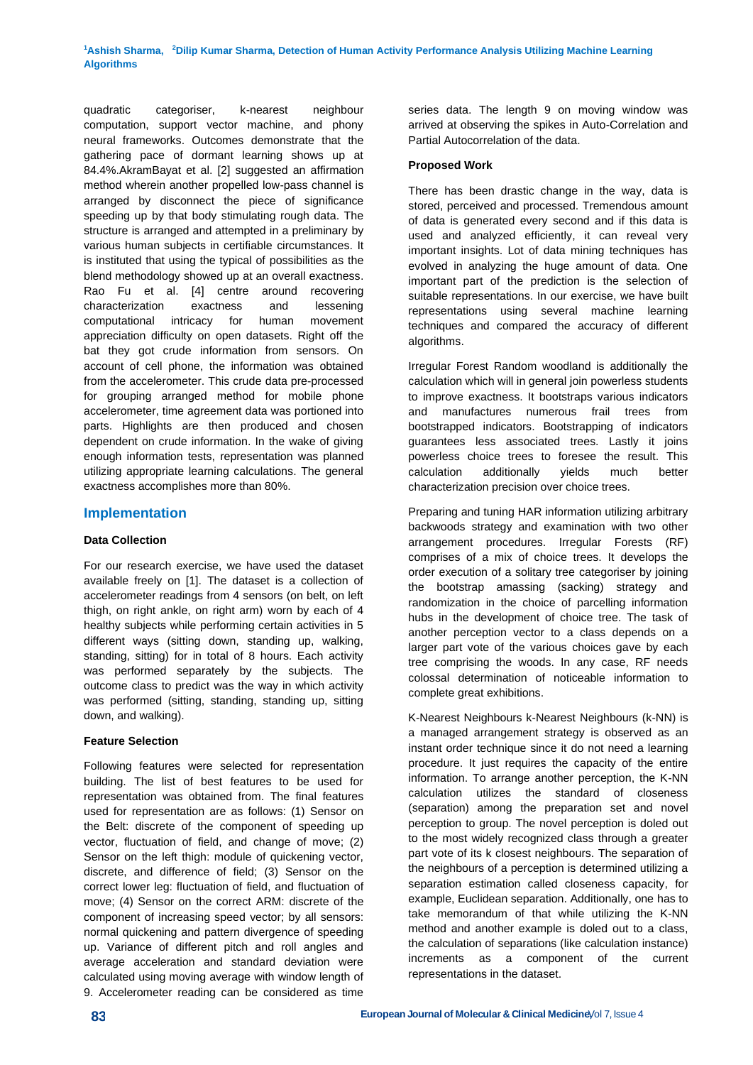quadratic categoriser, k-nearest neighbour computation, support vector machine, and phony neural frameworks. Outcomes demonstrate that the gathering pace of dormant learning shows up at 84.4%.AkramBayat et al. [2] suggested an affirmation method wherein another propelled low-pass channel is arranged by disconnect the piece of significance speeding up by that body stimulating rough data. The structure is arranged and attempted in a preliminary by various human subjects in certifiable circumstances. It is instituted that using the typical of possibilities as the blend methodology showed up at an overall exactness. Rao Fu et al. [4] centre around recovering characterization exactness and lessening computational intricacy for human movement appreciation difficulty on open datasets. Right off the bat they got crude information from sensors. On account of cell phone, the information was obtained from the accelerometer. This crude data pre-processed for grouping arranged method for mobile phone accelerometer, time agreement data was portioned into parts. Highlights are then produced and chosen dependent on crude information. In the wake of giving enough information tests, representation was planned utilizing appropriate learning calculations. The general exactness accomplishes more than 80%.

# **Implementation**

## **Data Collection**

For our research exercise, we have used the dataset available freely on [1]. The dataset is a collection of accelerometer readings from 4 sensors (on belt, on left thigh, on right ankle, on right arm) worn by each of 4 healthy subjects while performing certain activities in 5 different ways (sitting down, standing up, walking, standing, sitting) for in total of 8 hours. Each activity was performed separately by the subjects. The outcome class to predict was the way in which activity was performed (sitting, standing, standing up, sitting down, and walking).

## **Feature Selection**

Following features were selected for representation building. The list of best features to be used for representation was obtained from. The final features used for representation are as follows: (1) Sensor on the Belt: discrete of the component of speeding up vector, fluctuation of field, and change of move; (2) Sensor on the left thigh: module of quickening vector, discrete, and difference of field; (3) Sensor on the correct lower leg: fluctuation of field, and fluctuation of move; (4) Sensor on the correct ARM: discrete of the component of increasing speed vector; by all sensors: normal quickening and pattern divergence of speeding up. Variance of different pitch and roll angles and average acceleration and standard deviation were calculated using moving average with window length of 9. Accelerometer reading can be considered as time

series data. The length 9 on moving window was arrived at observing the spikes in Auto-Correlation and Partial Autocorrelation of the data.

## **Proposed Work**

There has been drastic change in the way, data is stored, perceived and processed. Tremendous amount of data is generated every second and if this data is used and analyzed efficiently, it can reveal very important insights. Lot of data mining techniques has evolved in analyzing the huge amount of data. One important part of the prediction is the selection of suitable representations. In our exercise, we have built representations using several machine learning techniques and compared the accuracy of different algorithms.

Irregular Forest Random woodland is additionally the calculation which will in general join powerless students to improve exactness. It bootstraps various indicators and manufactures numerous frail trees from bootstrapped indicators. Bootstrapping of indicators guarantees less associated trees. Lastly it joins powerless choice trees to foresee the result. This calculation additionally yields much better characterization precision over choice trees.

Preparing and tuning HAR information utilizing arbitrary backwoods strategy and examination with two other arrangement procedures. Irregular Forests (RF) comprises of a mix of choice trees. It develops the order execution of a solitary tree categoriser by joining the bootstrap amassing (sacking) strategy and randomization in the choice of parcelling information hubs in the development of choice tree. The task of another perception vector to a class depends on a larger part vote of the various choices gave by each tree comprising the woods. In any case, RF needs colossal determination of noticeable information to complete great exhibitions.

K-Nearest Neighbours k-Nearest Neighbours (k-NN) is a managed arrangement strategy is observed as an instant order technique since it do not need a learning procedure. It just requires the capacity of the entire information. To arrange another perception, the K-NN calculation utilizes the standard of closeness (separation) among the preparation set and novel perception to group. The novel perception is doled out to the most widely recognized class through a greater part vote of its k closest neighbours. The separation of the neighbours of a perception is determined utilizing a separation estimation called closeness capacity, for example, Euclidean separation. Additionally, one has to take memorandum of that while utilizing the K-NN method and another example is doled out to a class, the calculation of separations (like calculation instance) increments as a component of the current representations in the dataset.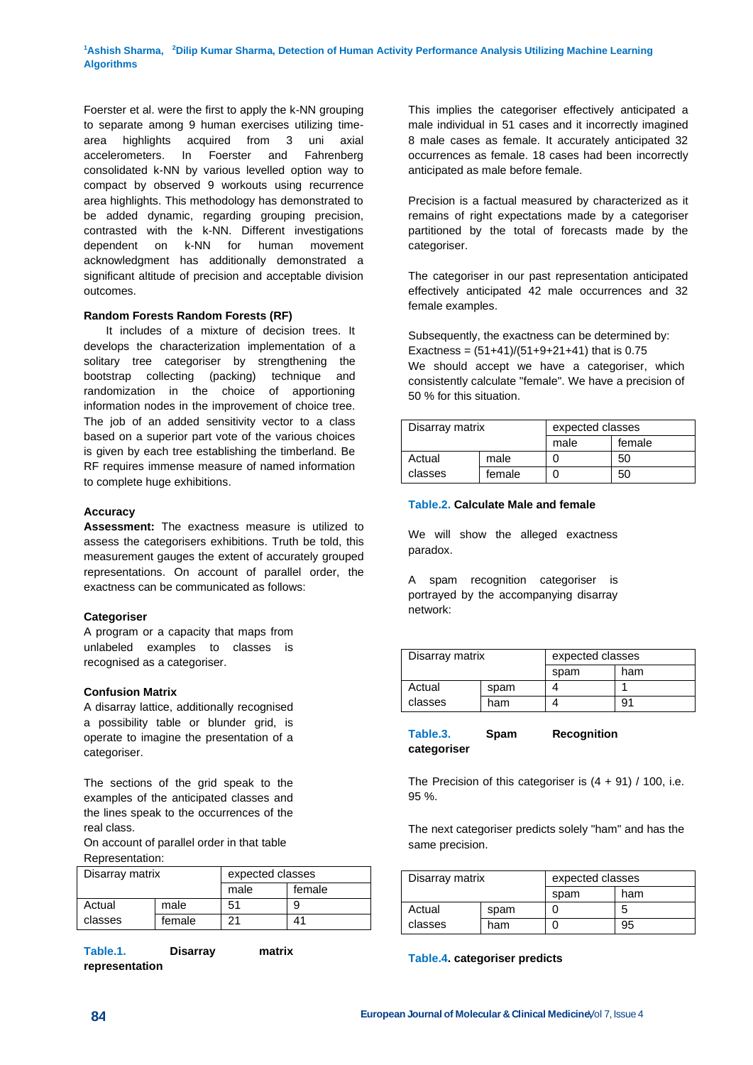Foerster et al. were the first to apply the k-NN grouping to separate among 9 human exercises utilizing timearea highlights acquired from 3 uni axial accelerometers. In Foerster and Fahrenberg consolidated k-NN by various levelled option way to compact by observed 9 workouts using recurrence area highlights. This methodology has demonstrated to be added dynamic, regarding grouping precision, contrasted with the k-NN. Different investigations dependent on k-NN for human movement acknowledgment has additionally demonstrated a significant altitude of precision and acceptable division outcomes.

## **Random Forests Random Forests (RF)**

 It includes of a mixture of decision trees. It develops the characterization implementation of a solitary tree categoriser by strengthening the bootstrap collecting (packing) technique and randomization in the choice of apportioning information nodes in the improvement of choice tree. The job of an added sensitivity vector to a class based on a superior part vote of the various choices is given by each tree establishing the timberland. Be RF requires immense measure of named information to complete huge exhibitions.

## **Accuracy**

**Assessment:** The exactness measure is utilized to assess the categorisers exhibitions. Truth be told, this measurement gauges the extent of accurately grouped representations. On account of parallel order, the exactness can be communicated as follows:

## **Categoriser**

A program or a capacity that maps from unlabeled examples to classes is recognised as a categoriser.

## **Confusion Matrix**

A disarray lattice, additionally recognised a possibility table or blunder grid, is operate to imagine the presentation of a categoriser.

The sections of the grid speak to the examples of the anticipated classes and the lines speak to the occurrences of the real class.

On account of parallel order in that table Representation:

| Disarray matrix |        | expected classes |        |
|-----------------|--------|------------------|--------|
|                 |        | male             | female |
| Actual          | male   | 51               | 9      |
| classes         | female | 21               | 41     |

**Table.1. Disarray matrix representation**

This implies the categoriser effectively anticipated a male individual in 51 cases and it incorrectly imagined 8 male cases as female. It accurately anticipated 32 occurrences as female. 18 cases had been incorrectly anticipated as male before female.

Precision is a factual measured by characterized as it remains of right expectations made by a categoriser partitioned by the total of forecasts made by the categoriser.

The categoriser in our past representation anticipated effectively anticipated 42 male occurrences and 32 female examples.

Subsequently, the exactness can be determined by: Exactness =  $(51+41)/(51+9+21+41)$  that is 0.75 We should accept we have a categoriser, which consistently calculate "female". We have a precision of 50 % for this situation.

| Disarray matrix |        | expected classes |        |
|-----------------|--------|------------------|--------|
|                 |        | male             | female |
| Actual          | male   |                  | 50     |
| classes         | female |                  | 50     |

## **Table.2. Calculate Male and female**

We will show the alleged exactness paradox.

A spam recognition categoriser is portrayed by the accompanying disarray network:

| Disarray matrix |      | expected classes |     |
|-----------------|------|------------------|-----|
|                 |      | spam             | ham |
| Actual          | spam |                  |     |
| classes         | ham  |                  | g,  |

**Table.3. Spam Recognition categoriser**

The Precision of this categoriser is  $(4 + 91)$  / 100, i.e. 95 %.

The next categoriser predicts solely "ham" and has the same precision.

| Disarray matrix |      | expected classes |     |
|-----------------|------|------------------|-----|
|                 |      | spam             | ham |
| Actual          | spam |                  | :5  |
| classes         | ham  |                  | 95  |

## **Table.4. categoriser predicts**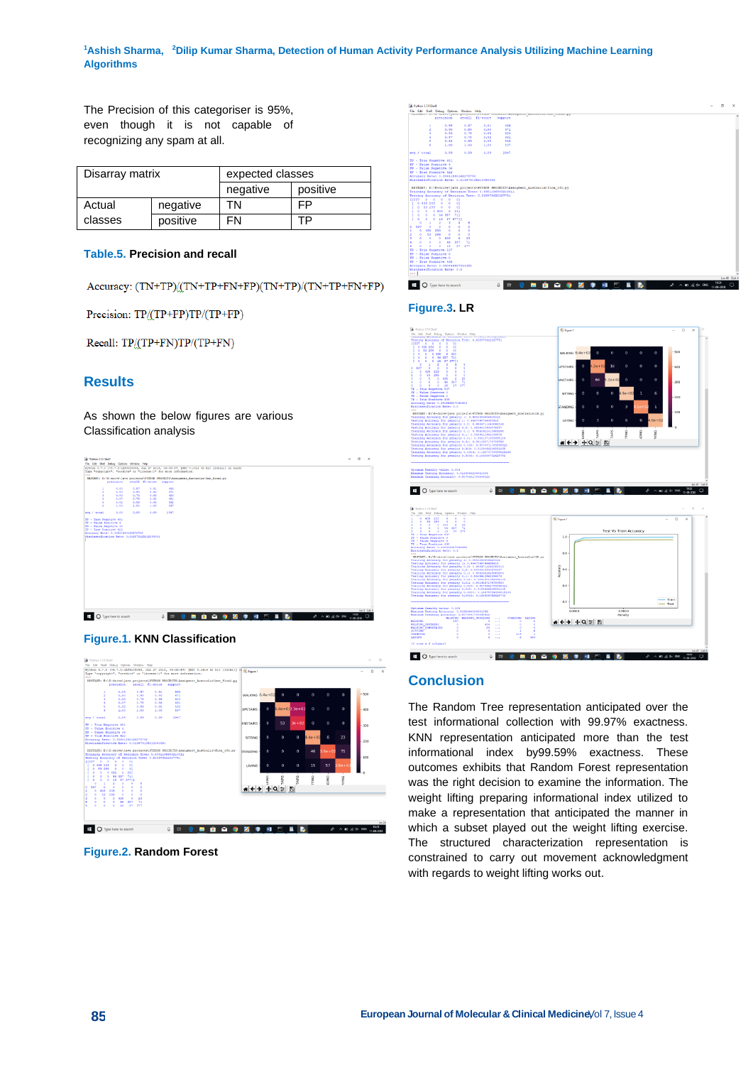**<sup>1</sup>Ashish Sharma, <sup>2</sup>Dilip Kumar Sharma, Detection of Human Activity Performance Analysis Utilizing Machine Learning Algorithms**

The Precision of this categoriser is 95%, even though it is not capable of recognizing any spam at all.

| Disarray matrix |          | expected classes |          |
|-----------------|----------|------------------|----------|
|                 |          | negative         | positive |
| Actual          | negative | TΝ               | FP       |
| classes         | positive | FN               | то       |

#### **Table.5. Precision and recall**

Accuracy: (TN+TP)/(TN+TP+FN+FP)(TN+TP)/(TN+TP+FN+FP)

Precision: TP/(TP+FP)TP/(TP+FP)

Recall: TP/(TP+FN)TP/(TP+FN)

# **Results**

As shown the below figures are various Classification analysis







**Figure.2. Random Forest**



## **Figure.3. LR**



## **Conclusion**

The Random Tree representation anticipated over the test informational collection with 99.97% exactness. KNN representation anticipated more than the test informational index by99.59% exactness. These outcomes exhibits that Random Forest representation was the right decision to examine the information. The weight lifting preparing informational index utilized to make a representation that anticipated the manner in which a subset played out the weight lifting exercise. The structured characterization representation is constrained to carry out movement acknowledgment with regards to weight lifting works out.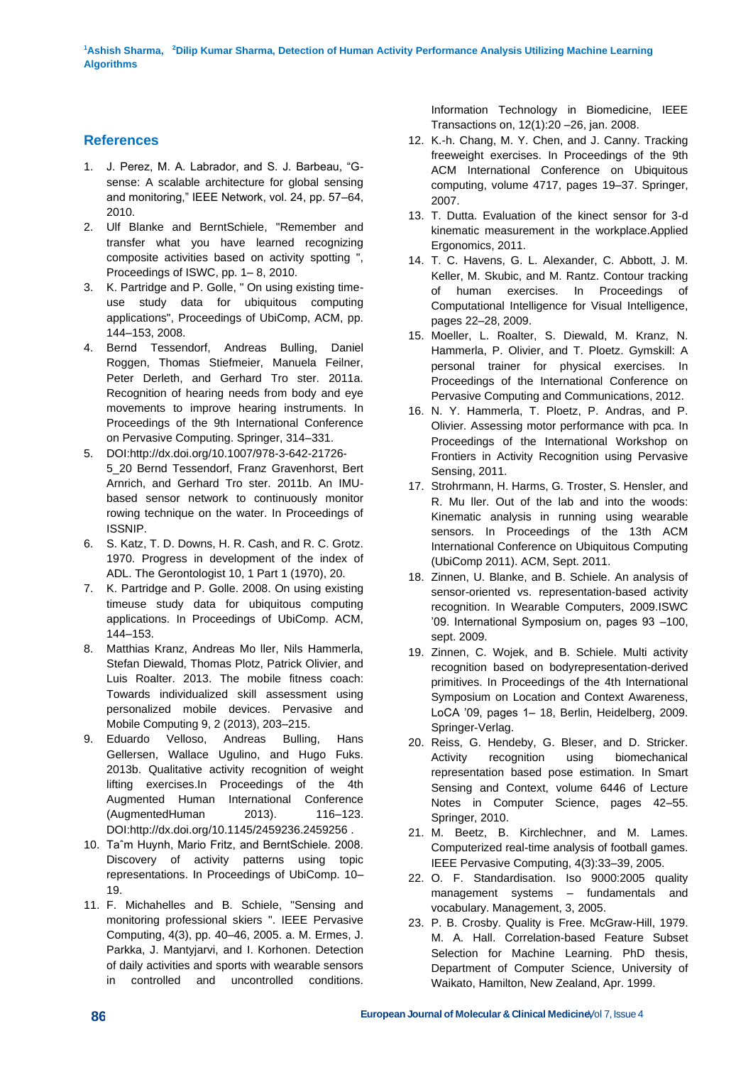# **References**

- 1. J. Perez, M. A. Labrador, and S. J. Barbeau, "Gsense: A scalable architecture for global sensing and monitoring," IEEE Network, vol. 24, pp. 57–64, 2010.
- 2. Ulf Blanke and BerntSchiele, "Remember and transfer what you have learned recognizing composite activities based on activity spotting ", Proceedings of ISWC, pp. 1– 8, 2010.
- 3. K. Partridge and P. Golle, " On using existing timeuse study data for ubiquitous computing applications", Proceedings of UbiComp, ACM, pp. 144–153, 2008.
- 4. Bernd Tessendorf, Andreas Bulling, Daniel Roggen, Thomas Stiefmeier, Manuela Feilner, Peter Derleth, and Gerhard Tro ster. 2011a. Recognition of hearing needs from body and eye movements to improve hearing instruments. In Proceedings of the 9th International Conference on Pervasive Computing. Springer, 314–331.
- 5. DOI:http://dx.doi.org/10.1007/978-3-642-21726- 5\_20 Bernd Tessendorf, Franz Gravenhorst, Bert Arnrich, and Gerhard Tro ster. 2011b. An IMUbased sensor network to continuously monitor rowing technique on the water. In Proceedings of ISSNIP.
- 6. S. Katz, T. D. Downs, H. R. Cash, and R. C. Grotz. 1970. Progress in development of the index of ADL. The Gerontologist 10, 1 Part 1 (1970), 20.
- 7. K. Partridge and P. Golle. 2008. On using existing timeuse study data for ubiquitous computing applications. In Proceedings of UbiComp. ACM, 144–153.
- 8. Matthias Kranz, Andreas Mo ller, Nils Hammerla, Stefan Diewald, Thomas Plotz, Patrick Olivier, and Luis Roalter. 2013. The mobile fitness coach: Towards individualized skill assessment using personalized mobile devices. Pervasive and Mobile Computing 9, 2 (2013), 203–215.
- 9. Eduardo Velloso, Andreas Bulling, Hans Gellersen, Wallace Ugulino, and Hugo Fuks. 2013b. Qualitative activity recognition of weight lifting exercises.In Proceedings of the 4th Augmented Human International Conference (AugmentedHuman 2013). 116–123. DOI:http://dx.doi.org/10.1145/2459236.2459256 .
- 10. Taˆm Huynh, Mario Fritz, and BerntSchiele. 2008. Discovery of activity patterns using topic representations. In Proceedings of UbiComp. 10– 19.
- 11. F. Michahelles and B. Schiele, "Sensing and monitoring professional skiers ". IEEE Pervasive Computing, 4(3), pp. 40–46, 2005. a. M. Ermes, J. Parkka, J. Mantyjarvi, and I. Korhonen. Detection of daily activities and sports with wearable sensors in controlled and uncontrolled conditions.

Information Technology in Biomedicine, IEEE Transactions on, 12(1):20 –26, jan. 2008.

- 12. K.-h. Chang, M. Y. Chen, and J. Canny. Tracking freeweight exercises. In Proceedings of the 9th ACM International Conference on Ubiquitous computing, volume 4717, pages 19–37. Springer, 2007.
- 13. T. Dutta. Evaluation of the kinect sensor for 3-d kinematic measurement in the workplace.Applied Ergonomics, 2011.
- 14. T. C. Havens, G. L. Alexander, C. Abbott, J. M. Keller, M. Skubic, and M. Rantz. Contour tracking of human exercises. In Proceedings of Computational Intelligence for Visual Intelligence, pages 22–28, 2009.
- 15. Moeller, L. Roalter, S. Diewald, M. Kranz, N. Hammerla, P. Olivier, and T. Ploetz. Gymskill: A personal trainer for physical exercises. In Proceedings of the International Conference on Pervasive Computing and Communications, 2012.
- 16. N. Y. Hammerla, T. Ploetz, P. Andras, and P. Olivier. Assessing motor performance with pca. In Proceedings of the International Workshop on Frontiers in Activity Recognition using Pervasive Sensing, 2011.
- 17. Strohrmann, H. Harms, G. Troster, S. Hensler, and R. Mu ller. Out of the lab and into the woods: Kinematic analysis in running using wearable sensors. In Proceedings of the 13th ACM International Conference on Ubiquitous Computing (UbiComp 2011). ACM, Sept. 2011.
- 18. Zinnen, U. Blanke, and B. Schiele. An analysis of sensor-oriented vs. representation-based activity recognition. In Wearable Computers, 2009.ISWC '09. International Symposium on, pages 93 –100, sept. 2009.
- 19. Zinnen, C. Wojek, and B. Schiele. Multi activity recognition based on bodyrepresentation-derived primitives. In Proceedings of the 4th International Symposium on Location and Context Awareness, LoCA '09, pages 1– 18, Berlin, Heidelberg, 2009. Springer-Verlag.
- 20. Reiss, G. Hendeby, G. Bleser, and D. Stricker. Activity recognition using biomechanical representation based pose estimation. In Smart Sensing and Context, volume 6446 of Lecture Notes in Computer Science, pages 42–55. Springer, 2010.
- 21. M. Beetz, B. Kirchlechner, and M. Lames. Computerized real-time analysis of football games. IEEE Pervasive Computing, 4(3):33–39, 2005.
- 22. O. F. Standardisation. Iso 9000:2005 quality management systems – fundamentals and vocabulary. Management, 3, 2005.
- 23. P. B. Crosby. Quality is Free. McGraw-Hill, 1979. M. A. Hall. Correlation-based Feature Subset Selection for Machine Learning. PhD thesis, Department of Computer Science, University of Waikato, Hamilton, New Zealand, Apr. 1999.